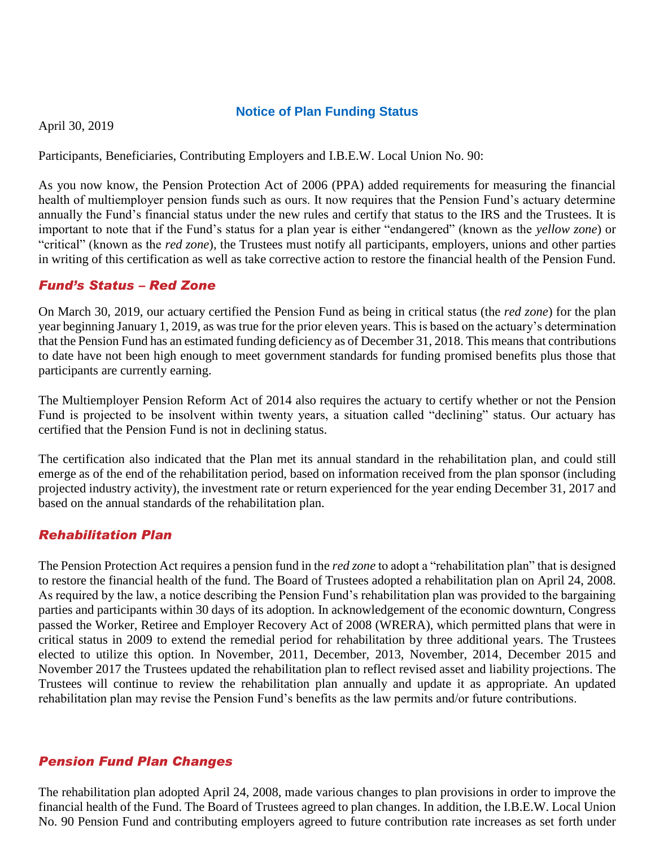#### **Notice of Plan Funding Status**

April 30, 2019

Participants, Beneficiaries, Contributing Employers and I.B.E.W. Local Union No. 90:

As you now know, the Pension Protection Act of 2006 (PPA) added requirements for measuring the financial health of multiemployer pension funds such as ours. It now requires that the Pension Fund's actuary determine annually the Fund's financial status under the new rules and certify that status to the IRS and the Trustees. It is important to note that if the Fund's status for a plan year is either "endangered" (known as the *yellow zone*) or "critical" (known as the *red zone*), the Trustees must notify all participants, employers, unions and other parties in writing of this certification as well as take corrective action to restore the financial health of the Pension Fund.

#### *Fund's Status – Red Zone*

On March 30, 2019, our actuary certified the Pension Fund as being in critical status (the *red zone*) for the plan year beginning January 1, 2019, as was true for the prior eleven years. This is based on the actuary's determination that the Pension Fund has an estimated funding deficiency as of December 31, 2018. This means that contributions to date have not been high enough to meet government standards for funding promised benefits plus those that participants are currently earning.

The Multiemployer Pension Reform Act of 2014 also requires the actuary to certify whether or not the Pension Fund is projected to be insolvent within twenty years, a situation called "declining" status. Our actuary has certified that the Pension Fund is not in declining status.

The certification also indicated that the Plan met its annual standard in the rehabilitation plan, and could still emerge as of the end of the rehabilitation period, based on information received from the plan sponsor (including projected industry activity), the investment rate or return experienced for the year ending December 31, 2017 and based on the annual standards of the rehabilitation plan.

## *Rehabilitation Plan*

The Pension Protection Act requires a pension fund in the *red zone* to adopt a "rehabilitation plan" that is designed to restore the financial health of the fund. The Board of Trustees adopted a rehabilitation plan on April 24, 2008. As required by the law, a notice describing the Pension Fund's rehabilitation plan was provided to the bargaining parties and participants within 30 days of its adoption. In acknowledgement of the economic downturn, Congress passed the Worker, Retiree and Employer Recovery Act of 2008 (WRERA), which permitted plans that were in critical status in 2009 to extend the remedial period for rehabilitation by three additional years. The Trustees elected to utilize this option. In November, 2011, December, 2013, November, 2014, December 2015 and November 2017 the Trustees updated the rehabilitation plan to reflect revised asset and liability projections. The Trustees will continue to review the rehabilitation plan annually and update it as appropriate. An updated rehabilitation plan may revise the Pension Fund's benefits as the law permits and/or future contributions.

## *Pension Fund Plan Changes*

The rehabilitation plan adopted April 24, 2008, made various changes to plan provisions in order to improve the financial health of the Fund. The Board of Trustees agreed to plan changes. In addition, the I.B.E.W. Local Union No. 90 Pension Fund and contributing employers agreed to future contribution rate increases as set forth under